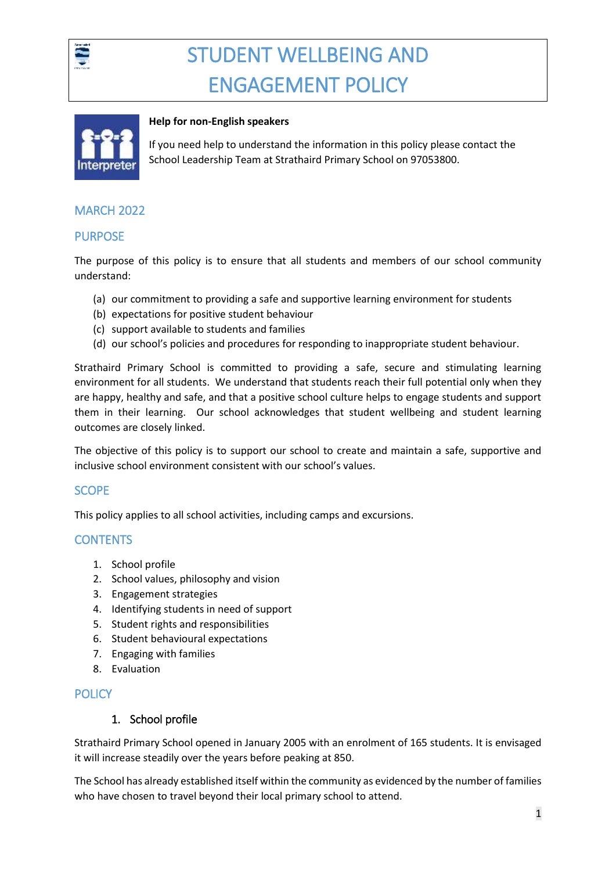



#### **Help for non-English speakers**

If you need help to understand the information in this policy please contact the School Leadership Team at Strathaird Primary School on 97053800.

## MARCH 2022

## **PURPOSE**

The purpose of this policy is to ensure that all students and members of our school community understand:

- (a) our commitment to providing a safe and supportive learning environment for students
- (b) expectations for positive student behaviour
- (c) support available to students and families
- (d) our school's policies and procedures for responding to inappropriate student behaviour.

Strathaird Primary School is committed to providing a safe, secure and stimulating learning environment for all students. We understand that students reach their full potential only when they are happy, healthy and safe, and that a positive school culture helps to engage students and support them in their learning. Our school acknowledges that student wellbeing and student learning outcomes are closely linked.

The objective of this policy is to support our school to create and maintain a safe, supportive and inclusive school environment consistent with our school's values.

# **SCOPE**

This policy applies to all school activities, including camps and excursions.

# **CONTENTS**

- 1. School profile
- 2. School values, philosophy and vision
- 3. Engagement strategies
- 4. Identifying students in need of support
- 5. Student rights and responsibilities
- 6. Student behavioural expectations
- 7. Engaging with families
- 8. Evaluation

## **POLICY**

## 1. School profile

Strathaird Primary School opened in January 2005 with an enrolment of 165 students. It is envisaged it will increase steadily over the years before peaking at 850.

The School has already established itself within the community as evidenced by the number of families who have chosen to travel beyond their local primary school to attend.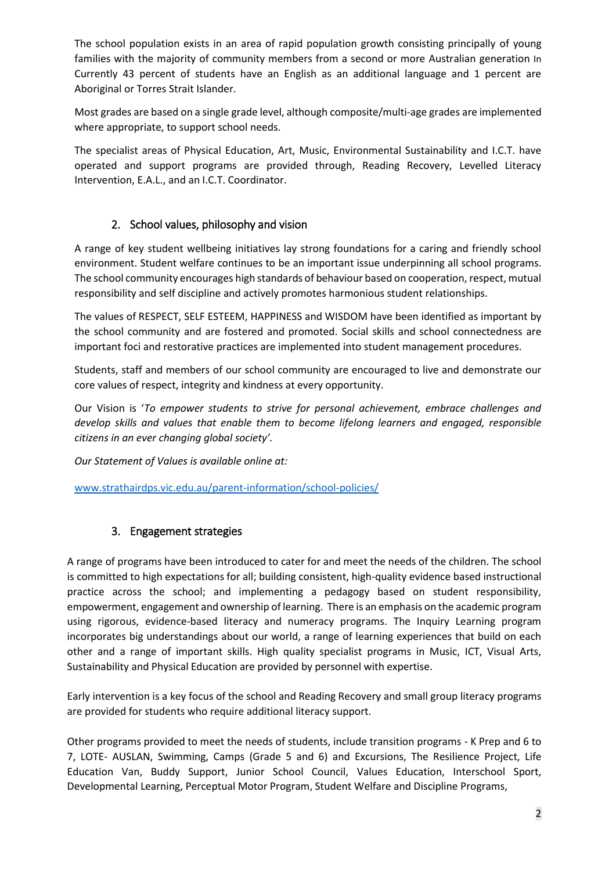The school population exists in an area of rapid population growth consisting principally of young families with the majority of community members from a second or more Australian generation In Currently 43 percent of students have an English as an additional language and 1 percent are Aboriginal or Torres Strait Islander.

Most grades are based on a single grade level, although composite/multi-age grades are implemented where appropriate, to support school needs.

The specialist areas of Physical Education, Art, Music, Environmental Sustainability and I.C.T. have operated and support programs are provided through, Reading Recovery, Levelled Literacy Intervention, E.A.L., and an I.C.T. Coordinator.

# 2. School values, philosophy and vision

A range of key student wellbeing initiatives lay strong foundations for a caring and friendly school environment. Student welfare continues to be an important issue underpinning all school programs. The school community encourages high standards of behaviour based on cooperation, respect, mutual responsibility and self discipline and actively promotes harmonious student relationships.

The values of RESPECT, SELF ESTEEM, HAPPINESS and WISDOM have been identified as important by the school community and are fostered and promoted. Social skills and school connectedness are important foci and restorative practices are implemented into student management procedures.

Students, staff and members of our school community are encouraged to live and demonstrate our core values of respect, integrity and kindness at every opportunity.

Our Vision is '*To empower students to strive for personal achievement, embrace challenges and develop skills and values that enable them to become lifelong learners and engaged, responsible citizens in an ever changing global society'.*

*Our Statement of Values is available online at:* 

[www.strathairdps.vic.edu.au/parent-information/school-policies/](http://www.strathairdps.vic.edu.au/parent-information/school-policies/)

# 3. Engagement strategies

A range of programs have been introduced to cater for and meet the needs of the children. The school is committed to high expectations for all; building consistent, high-quality evidence based instructional practice across the school; and implementing a pedagogy based on student responsibility, empowerment, engagement and ownership of learning. There is an emphasis on the academic program using rigorous, evidence-based literacy and numeracy programs. The Inquiry Learning program incorporates big understandings about our world, a range of learning experiences that build on each other and a range of important skills. High quality specialist programs in Music, ICT, Visual Arts, Sustainability and Physical Education are provided by personnel with expertise.

Early intervention is a key focus of the school and Reading Recovery and small group literacy programs are provided for students who require additional literacy support.

Other programs provided to meet the needs of students, include transition programs - K Prep and 6 to 7, LOTE- AUSLAN, Swimming, Camps (Grade 5 and 6) and Excursions, The Resilience Project, Life Education Van, Buddy Support, Junior School Council, Values Education, Interschool Sport, Developmental Learning, Perceptual Motor Program, Student Welfare and Discipline Programs,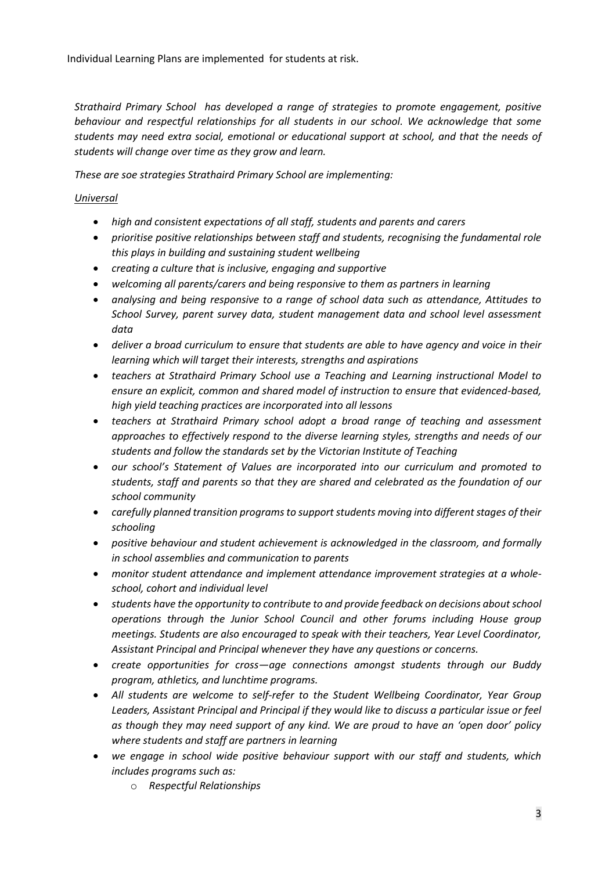Individual Learning Plans are implemented for students at risk.

*Strathaird Primary School has developed a range of strategies to promote engagement, positive behaviour and respectful relationships for all students in our school. We acknowledge that some students may need extra social, emotional or educational support at school, and that the needs of students will change over time as they grow and learn.* 

*These are soe strategies Strathaird Primary School are implementing:*

# *Universal*

- *high and consistent expectations of all staff, students and parents and carers*
- *prioritise positive relationships between staff and students, recognising the fundamental role this plays in building and sustaining student wellbeing*
- *creating a culture that is inclusive, engaging and supportive*
- *welcoming all parents/carers and being responsive to them as partners in learning*
- *analysing and being responsive to a range of school data such as attendance, Attitudes to School Survey, parent survey data, student management data and school level assessment data*
- *deliver a broad curriculum to ensure that students are able to have agency and voice in their learning which will target their interests, strengths and aspirations*
- *teachers at Strathaird Primary School use a Teaching and Learning instructional Model to ensure an explicit, common and shared model of instruction to ensure that evidenced-based, high yield teaching practices are incorporated into all lessons*
- *teachers at Strathaird Primary school adopt a broad range of teaching and assessment approaches to effectively respond to the diverse learning styles, strengths and needs of our students and follow the standards set by the Victorian Institute of Teaching*
- *our school's Statement of Values are incorporated into our curriculum and promoted to students, staff and parents so that they are shared and celebrated as the foundation of our school community*
- *carefully planned transition programs to support students moving into different stages of their schooling*
- *positive behaviour and student achievement is acknowledged in the classroom, and formally in school assemblies and communication to parents*
- *monitor student attendance and implement attendance improvement strategies at a wholeschool, cohort and individual level*
- *students have the opportunity to contribute to and provide feedback on decisions aboutschool operations through the Junior School Council and other forums including House group meetings. Students are also encouraged to speak with their teachers, Year Level Coordinator, Assistant Principal and Principal whenever they have any questions or concerns.*
- *create opportunities for cross—age connections amongst students through our Buddy program, athletics, and lunchtime programs.*
- *All students are welcome to self-refer to the Student Wellbeing Coordinator, Year Group Leaders, Assistant Principal and Principal if they would like to discuss a particular issue or feel as though they may need support of any kind. We are proud to have an 'open door' policy where students and staff are partners in learning*
- *we engage in school wide positive behaviour support with our staff and students, which includes programs such as:*
	- o *Respectful Relationships*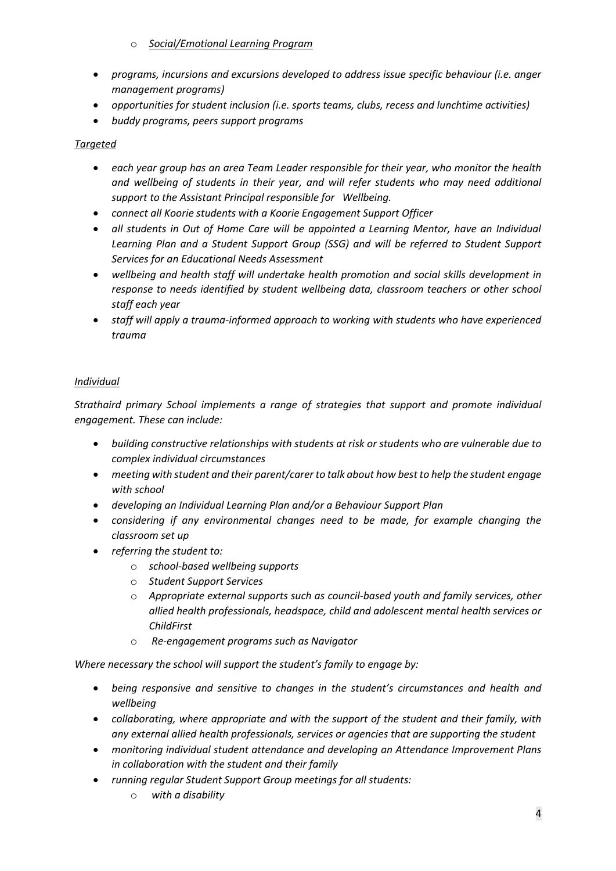- o *Social/Emotional Learning Program*
- *programs, incursions and excursions developed to address issue specific behaviour (i.e. anger management programs)*
- *opportunities for student inclusion (i.e. sports teams, clubs, recess and lunchtime activities)*
- *buddy programs, peers support programs*

# *Targeted*

- *each year group has an area Team Leader responsible for their year, who monitor the health and wellbeing of students in their year, and will refer students who may need additional support to the Assistant Principal responsible for Wellbeing.*
- *connect all Koorie students with a Koorie Engagement Support Officer*
- *all students in Out of Home Care will be appointed a Learning Mentor, have an Individual Learning Plan and a Student Support Group (SSG) and will be referred to Student Support Services for an Educational Needs Assessment*
- *wellbeing and health staff will undertake health promotion and social skills development in response to needs identified by student wellbeing data, classroom teachers or other school staff each year*
- *staff will apply a trauma-informed approach to working with students who have experienced trauma*

# *Individual*

*Strathaird primary School implements a range of strategies that support and promote individual engagement. These can include:*

- *building constructive relationships with students at risk or students who are vulnerable due to complex individual circumstances*
- *meeting with student and their parent/carer to talk about how best to help the student engage with school*
- *developing an Individual Learning Plan and/or a Behaviour Support Plan*
- *considering if any environmental changes need to be made, for example changing the classroom set up*
- *referring the student to:*
	- o *school-based wellbeing supports*
	- o *Student Support Services*
	- o *Appropriate external supports such as council-based youth and family services, other allied health professionals, headspace, child and adolescent mental health services or ChildFirst*
	- o *Re-engagement programs such as Navigator*

*Where necessary the school will support the student's family to engage by:*

- *being responsive and sensitive to changes in the student's circumstances and health and wellbeing*
- *collaborating, where appropriate and with the support of the student and their family, with any external allied health professionals, services or agencies that are supporting the student*
- *monitoring individual student attendance and developing an Attendance Improvement Plans in collaboration with the student and their family*
- *running regular Student Support Group meetings for all students:*
	- o *with a disability*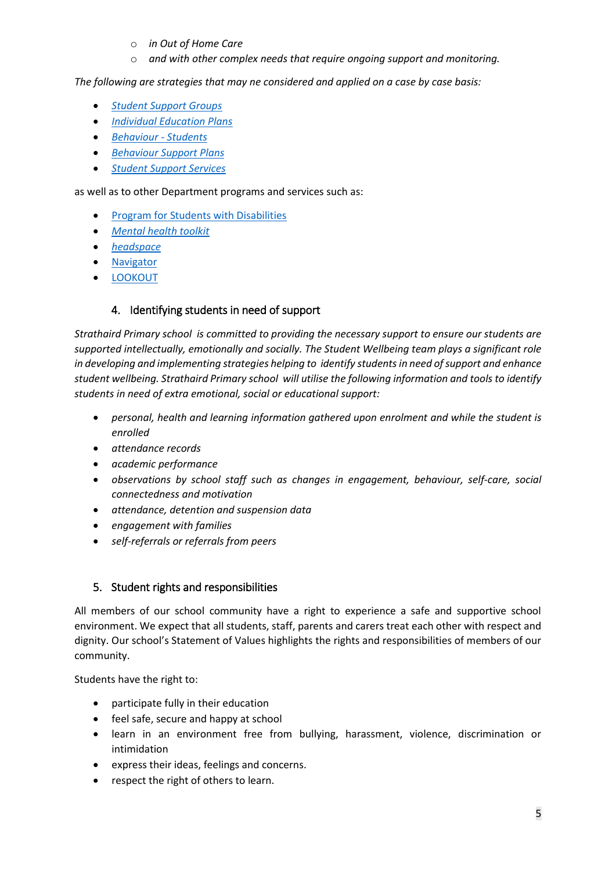- o *in Out of Home Care*
- o *and with other complex needs that require ongoing support and monitoring.*

*The following are strategies that may ne considered and applied on a case by case basis:*

- *[Student Support Groups](https://www2.education.vic.gov.au/pal/student-support-groups/policy)*
- *[Individual Education Plans](https://www2.education.vic.gov.au/pal/individual-education-plans-ieps/policy)*
- *[Behaviour -](https://www2.education.vic.gov.au/pal/behaviour-students/policy) Students*
- *[Behaviour Support Plans](https://www2.education.vic.gov.au/pal/behaviour-students/guidance/6-behaviour-support-plans)*
- *[Student Support Services](https://www2.education.vic.gov.au/pal/student-support-services/policy)*

as well as to other Department programs and services such as:

- [Program for Students with Disabilities](https://www.education.vic.gov.au/school/teachers/learningneeds/Pages/psd.aspx)
- *[Mental health toolkit](https://www.education.vic.gov.au/school/teachers/health/mentalhealth/Pages/mentalhealthtoolkit.aspx)*
- *[headspace](https://www.education.vic.gov.au/school/teachers/health/mentalhealth/Pages/headspace-counselling-secondary.aspx)*
- [Navigator](https://www.education.vic.gov.au/school/teachers/behaviour/engagement/Pages/navigator.aspx)
- [LOOKOUT](https://www.education.vic.gov.au/about/programs/Pages/lookout.aspx)

## 4. Identifying students in need of support

*Strathaird Primary school is committed to providing the necessary support to ensure our students are supported intellectually, emotionally and socially. The Student Wellbeing team plays a significant role in developing and implementing strategies helping to identify students in need of support and enhance student wellbeing. Strathaird Primary school will utilise the following information and tools to identify students in need of extra emotional, social or educational support:*

- *personal, health and learning information gathered upon enrolment and while the student is enrolled*
- *attendance records*
- *academic performance*
- *observations by school staff such as changes in engagement, behaviour, self-care, social connectedness and motivation*
- *attendance, detention and suspension data*
- *engagement with families*
- *self-referrals or referrals from peers*

# 5. Student rights and responsibilities

All members of our school community have a right to experience a safe and supportive school environment. We expect that all students, staff, parents and carers treat each other with respect and dignity. Our school's Statement of Values highlights the rights and responsibilities of members of our community.

Students have the right to:

- participate fully in their education
- feel safe, secure and happy at school
- learn in an environment free from bullying, harassment, violence, discrimination or intimidation
- express their ideas, feelings and concerns.
- respect the right of others to learn.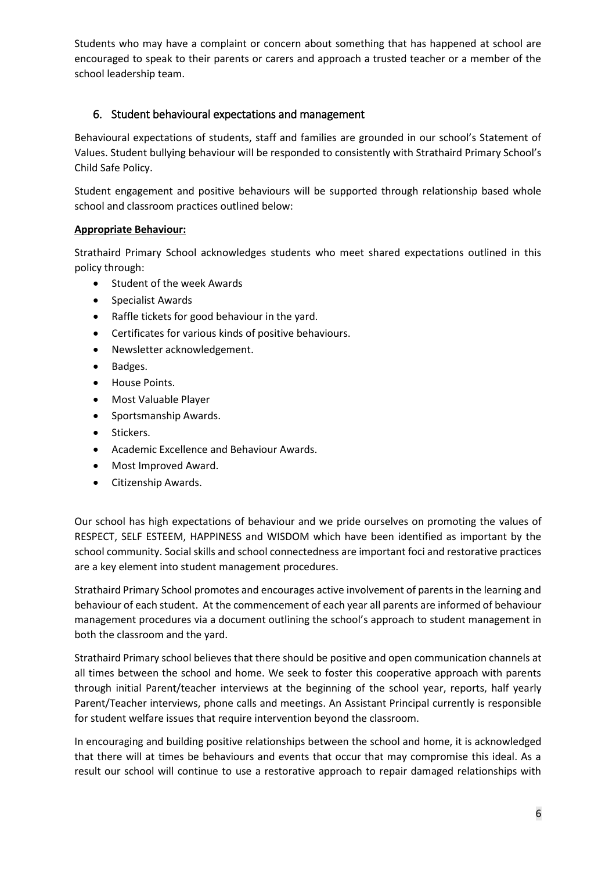Students who may have a complaint or concern about something that has happened at school are encouraged to speak to their parents or carers and approach a trusted teacher or a member of the school leadership team.

# 6. Student behavioural expectations and management

Behavioural expectations of students, staff and families are grounded in our school's Statement of Values. Student bullying behaviour will be responded to consistently with Strathaird Primary School's Child Safe Policy.

Student engagement and positive behaviours will be supported through relationship based whole school and classroom practices outlined below:

## **Appropriate Behaviour:**

Strathaird Primary School acknowledges students who meet shared expectations outlined in this policy through:

- Student of the week Awards
- Specialist Awards
- Raffle tickets for good behaviour in the yard.
- Certificates for various kinds of positive behaviours.
- Newsletter acknowledgement.
- Badges.
- House Points.
- Most Valuable Player
- Sportsmanship Awards.
- Stickers.
- Academic Excellence and Behaviour Awards.
- Most Improved Award.
- Citizenship Awards.

Our school has high expectations of behaviour and we pride ourselves on promoting the values of RESPECT, SELF ESTEEM, HAPPINESS and WISDOM which have been identified as important by the school community. Social skills and school connectedness are important foci and restorative practices are a key element into student management procedures.

Strathaird Primary School promotes and encourages active involvement of parents in the learning and behaviour of each student. At the commencement of each year all parents are informed of behaviour management procedures via a document outlining the school's approach to student management in both the classroom and the yard.

Strathaird Primary school believes that there should be positive and open communication channels at all times between the school and home. We seek to foster this cooperative approach with parents through initial Parent/teacher interviews at the beginning of the school year, reports, half yearly Parent/Teacher interviews, phone calls and meetings. An Assistant Principal currently is responsible for student welfare issues that require intervention beyond the classroom.

In encouraging and building positive relationships between the school and home, it is acknowledged that there will at times be behaviours and events that occur that may compromise this ideal. As a result our school will continue to use a restorative approach to repair damaged relationships with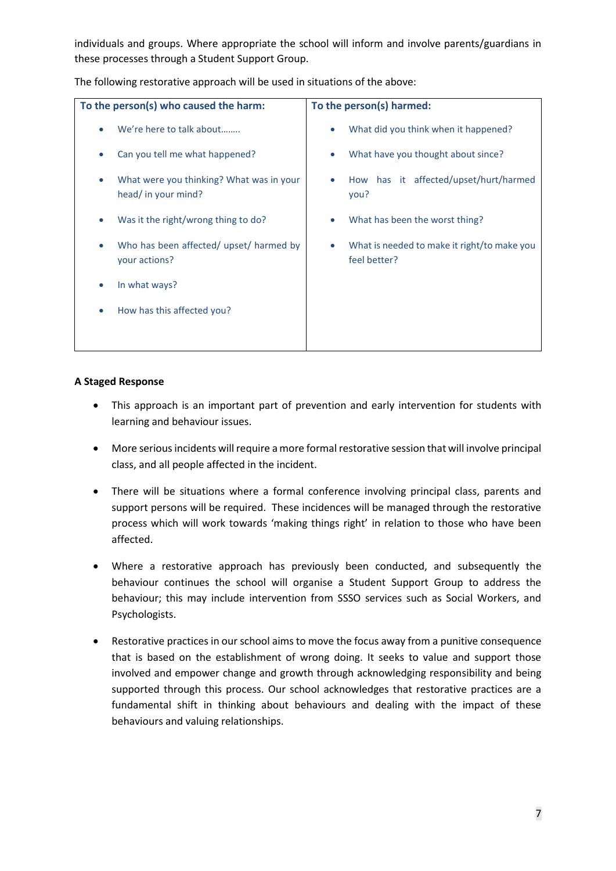individuals and groups. Where appropriate the school will inform and involve parents/guardians in these processes through a Student Support Group.

| To the person(s) who caused the harm:                           | To the person(s) harmed:                                    |
|-----------------------------------------------------------------|-------------------------------------------------------------|
| We're here to talk about                                        | What did you think when it happened?<br>$\bullet$           |
| Can you tell me what happened?                                  | What have you thought about since?                          |
| What were you thinking? What was in your<br>head/ in your mind? | How has it affected/upset/hurt/harmed<br>you?               |
| Was it the right/wrong thing to do?                             | What has been the worst thing?                              |
| Who has been affected/ upset/ harmed by<br>your actions?        | What is needed to make it right/to make you<br>feel better? |
| In what ways?                                                   |                                                             |
| How has this affected you?                                      |                                                             |
|                                                                 |                                                             |

The following restorative approach will be used in situations of the above:

#### **A Staged Response**

- This approach is an important part of prevention and early intervention for students with learning and behaviour issues.
- More serious incidents will require a more formal restorative session that will involve principal class, and all people affected in the incident.
- There will be situations where a formal conference involving principal class, parents and support persons will be required. These incidences will be managed through the restorative process which will work towards 'making things right' in relation to those who have been affected.
- Where a restorative approach has previously been conducted, and subsequently the behaviour continues the school will organise a Student Support Group to address the behaviour; this may include intervention from SSSO services such as Social Workers, and Psychologists.
- Restorative practices in our school aims to move the focus away from a punitive consequence that is based on the establishment of wrong doing. It seeks to value and support those involved and empower change and growth through acknowledging responsibility and being supported through this process. Our school acknowledges that restorative practices are a fundamental shift in thinking about behaviours and dealing with the impact of these behaviours and valuing relationships.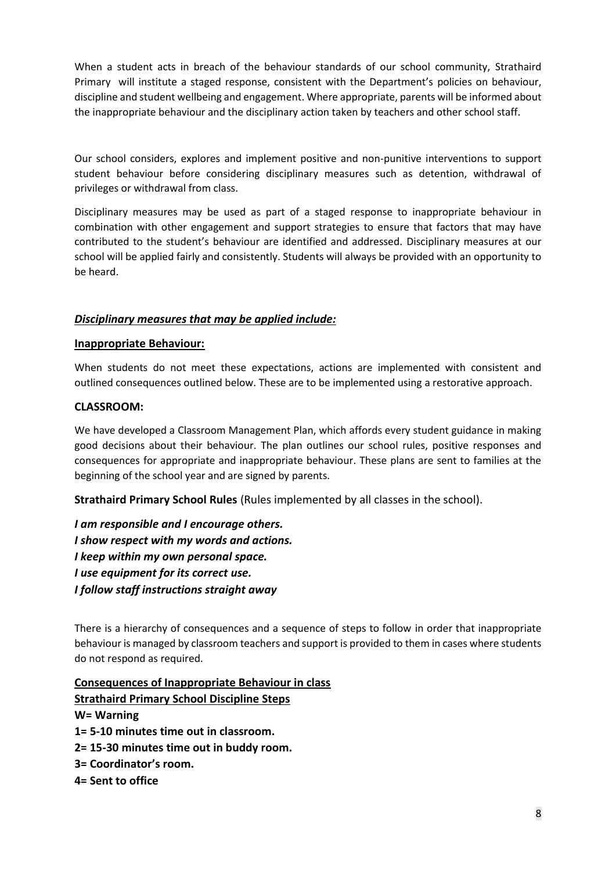When a student acts in breach of the behaviour standards of our school community, Strathaird Primary will institute a staged response, consistent with the Department's policies on behaviour, discipline and student wellbeing and engagement. Where appropriate, parents will be informed about the inappropriate behaviour and the disciplinary action taken by teachers and other school staff.

Our school considers, explores and implement positive and non-punitive interventions to support student behaviour before considering disciplinary measures such as detention, withdrawal of privileges or withdrawal from class.

Disciplinary measures may be used as part of a staged response to inappropriate behaviour in combination with other engagement and support strategies to ensure that factors that may have contributed to the student's behaviour are identified and addressed. Disciplinary measures at our school will be applied fairly and consistently. Students will always be provided with an opportunity to be heard.

## *Disciplinary measures that may be applied include:*

## **Inappropriate Behaviour:**

When students do not meet these expectations, actions are implemented with consistent and outlined consequences outlined below. These are to be implemented using a restorative approach.

#### **CLASSROOM:**

We have developed a Classroom Management Plan, which affords every student guidance in making good decisions about their behaviour. The plan outlines our school rules, positive responses and consequences for appropriate and inappropriate behaviour. These plans are sent to families at the beginning of the school year and are signed by parents.

**Strathaird Primary School Rules** (Rules implemented by all classes in the school).

*I am responsible and I encourage others. I show respect with my words and actions. I keep within my own personal space. I use equipment for its correct use. I follow staff instructions straight away*

There is a hierarchy of consequences and a sequence of steps to follow in order that inappropriate behaviour is managed by classroom teachers and support is provided to them in cases where students do not respond as required.

**Consequences of Inappropriate Behaviour in class Strathaird Primary School Discipline Steps W= Warning 1= 5-10 minutes time out in classroom. 2= 15-30 minutes time out in buddy room. 3= Coordinator's room. 4= Sent to office**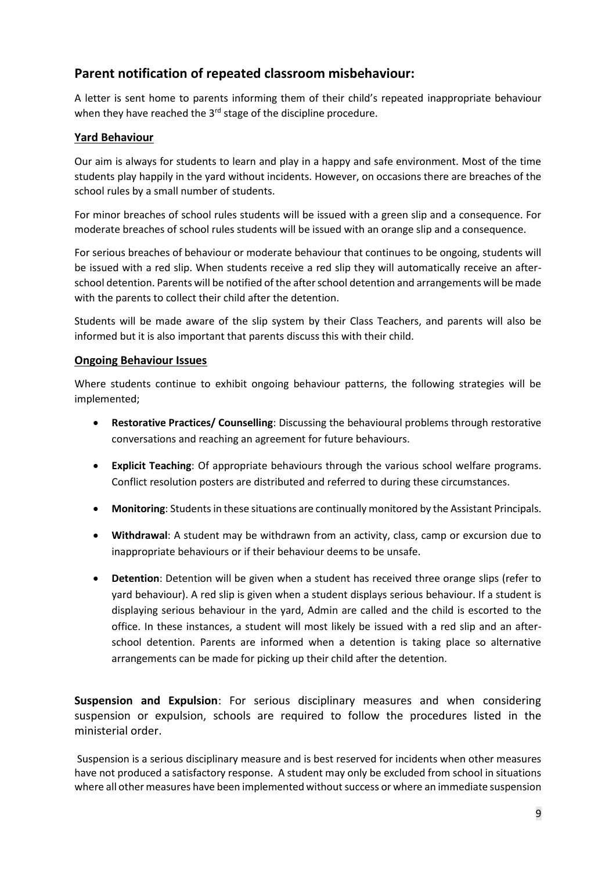# **Parent notification of repeated classroom misbehaviour:**

A letter is sent home to parents informing them of their child's repeated inappropriate behaviour when they have reached the 3<sup>rd</sup> stage of the discipline procedure.

## **Yard Behaviour**

Our aim is always for students to learn and play in a happy and safe environment. Most of the time students play happily in the yard without incidents. However, on occasions there are breaches of the school rules by a small number of students.

For minor breaches of school rules students will be issued with a green slip and a consequence. For moderate breaches of school rules students will be issued with an orange slip and a consequence.

For serious breaches of behaviour or moderate behaviour that continues to be ongoing, students will be issued with a red slip. When students receive a red slip they will automatically receive an afterschool detention. Parents will be notified of the after school detention and arrangements will be made with the parents to collect their child after the detention.

Students will be made aware of the slip system by their Class Teachers, and parents will also be informed but it is also important that parents discuss this with their child.

#### **Ongoing Behaviour Issues**

Where students continue to exhibit ongoing behaviour patterns, the following strategies will be implemented;

- **Restorative Practices/ Counselling**: Discussing the behavioural problems through restorative conversations and reaching an agreement for future behaviours.
- **Explicit Teaching**: Of appropriate behaviours through the various school welfare programs. Conflict resolution posters are distributed and referred to during these circumstances.
- **Monitoring**: Students in these situations are continually monitored by the Assistant Principals.
- **Withdrawal**: A student may be withdrawn from an activity, class, camp or excursion due to inappropriate behaviours or if their behaviour deems to be unsafe.
- **Detention**: Detention will be given when a student has received three orange slips (refer to yard behaviour). A red slip is given when a student displays serious behaviour. If a student is displaying serious behaviour in the yard, Admin are called and the child is escorted to the office. In these instances, a student will most likely be issued with a red slip and an afterschool detention. Parents are informed when a detention is taking place so alternative arrangements can be made for picking up their child after the detention.

**Suspension and Expulsion**: For serious disciplinary measures and when considering suspension or expulsion, schools are required to follow the procedures listed in the ministerial order.

Suspension is a serious disciplinary measure and is best reserved for incidents when other measures have not produced a satisfactory response. A student may only be excluded from school in situations where all other measures have been implemented without success or where an immediate suspension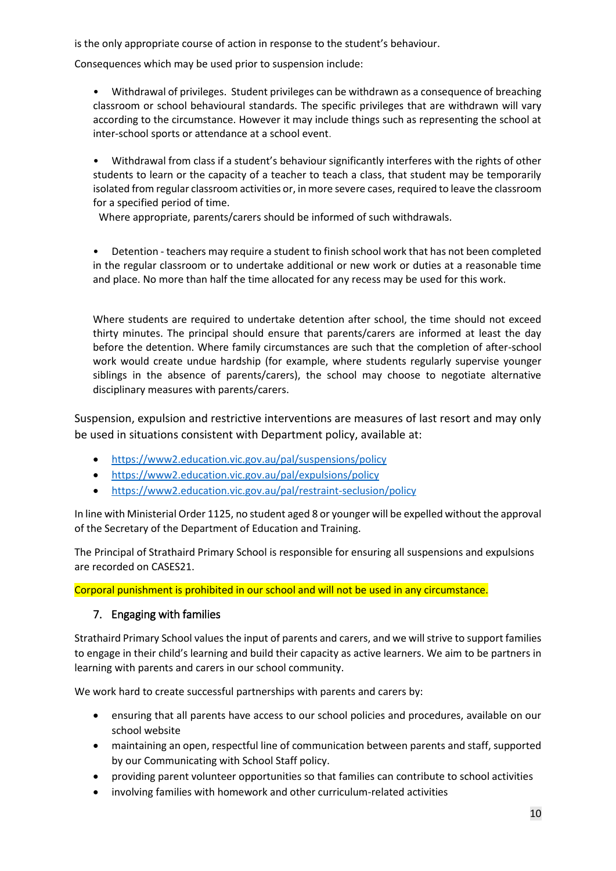is the only appropriate course of action in response to the student's behaviour.

Consequences which may be used prior to suspension include:

• Withdrawal of privileges. Student privileges can be withdrawn as a consequence of breaching classroom or school behavioural standards. The specific privileges that are withdrawn will vary according to the circumstance. However it may include things such as representing the school at inter-school sports or attendance at a school event.

• Withdrawal from class if a student's behaviour significantly interferes with the rights of other students to learn or the capacity of a teacher to teach a class, that student may be temporarily isolated from regular classroom activities or, in more severe cases, required to leave the classroom for a specified period of time.

Where appropriate, parents/carers should be informed of such withdrawals.

• Detention - teachers may require a student to finish school work that has not been completed in the regular classroom or to undertake additional or new work or duties at a reasonable time and place. No more than half the time allocated for any recess may be used for this work.

Where students are required to undertake detention after school, the time should not exceed thirty minutes. The principal should ensure that parents/carers are informed at least the day before the detention. Where family circumstances are such that the completion of after-school work would create undue hardship (for example, where students regularly supervise younger siblings in the absence of parents/carers), the school may choose to negotiate alternative disciplinary measures with parents/carers.

Suspension, expulsion and restrictive interventions are measures of last resort and may only be used in situations consistent with Department policy, available at:

- <https://www2.education.vic.gov.au/pal/suspensions/policy>
- <https://www2.education.vic.gov.au/pal/expulsions/policy>
- <https://www2.education.vic.gov.au/pal/restraint-seclusion/policy>

In line with Ministerial Order 1125, no student aged 8 or younger will be expelled without the approval of the Secretary of the Department of Education and Training.

The Principal of Strathaird Primary School is responsible for ensuring all suspensions and expulsions are recorded on CASES21.

Corporal punishment is prohibited in our school and will not be used in any circumstance.

# 7. Engaging with families

Strathaird Primary School values the input of parents and carers, and we will strive to support families to engage in their child's learning and build their capacity as active learners. We aim to be partners in learning with parents and carers in our school community.

We work hard to create successful partnerships with parents and carers by:

- ensuring that all parents have access to our school policies and procedures, available on our school website
- maintaining an open, respectful line of communication between parents and staff, supported by our Communicating with School Staff policy.
- providing parent volunteer opportunities so that families can contribute to school activities
- involving families with homework and other curriculum-related activities